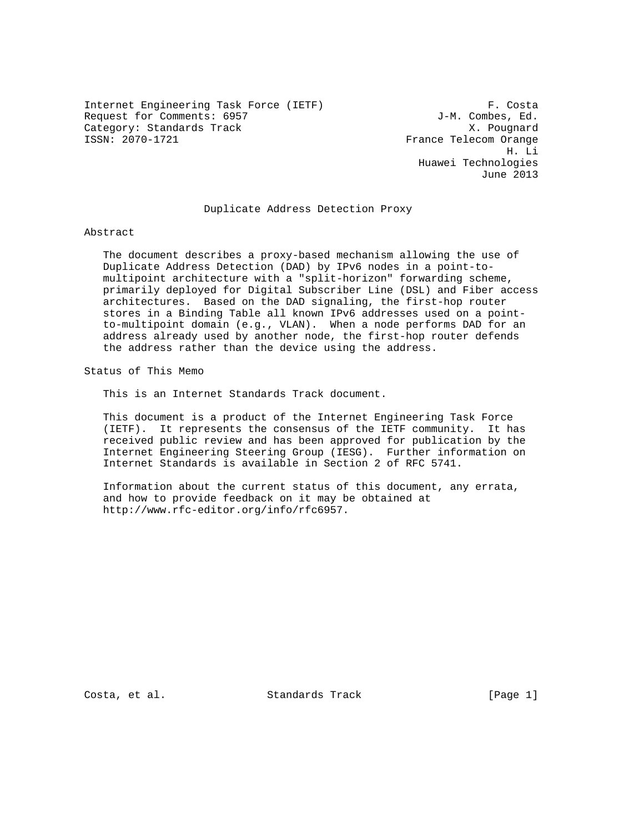Internet Engineering Task Force (IETF) F. Costa Request for Comments: 6957  $J-M.$  Combes, Ed. Category: Standards Track X. Pougnard

France Telecom Orange H. Li Huawei Technologies June 2013

### Duplicate Address Detection Proxy

Abstract

 The document describes a proxy-based mechanism allowing the use of Duplicate Address Detection (DAD) by IPv6 nodes in a point-to multipoint architecture with a "split-horizon" forwarding scheme, primarily deployed for Digital Subscriber Line (DSL) and Fiber access architectures. Based on the DAD signaling, the first-hop router stores in a Binding Table all known IPv6 addresses used on a point to-multipoint domain (e.g., VLAN). When a node performs DAD for an address already used by another node, the first-hop router defends the address rather than the device using the address.

Status of This Memo

This is an Internet Standards Track document.

 This document is a product of the Internet Engineering Task Force (IETF). It represents the consensus of the IETF community. It has received public review and has been approved for publication by the Internet Engineering Steering Group (IESG). Further information on Internet Standards is available in Section 2 of RFC 5741.

 Information about the current status of this document, any errata, and how to provide feedback on it may be obtained at http://www.rfc-editor.org/info/rfc6957.

Costa, et al. Standards Track [Page 1]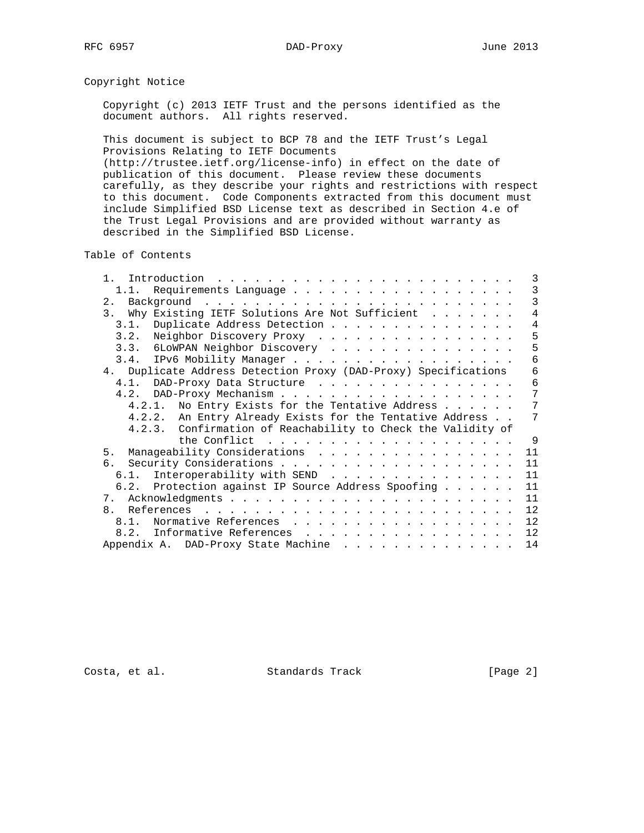# Copyright Notice

 Copyright (c) 2013 IETF Trust and the persons identified as the document authors. All rights reserved.

 This document is subject to BCP 78 and the IETF Trust's Legal Provisions Relating to IETF Documents

 (http://trustee.ietf.org/license-info) in effect on the date of publication of this document. Please review these documents carefully, as they describe your rights and restrictions with respect to this document. Code Components extracted from this document must include Simplified BSD License text as described in Section 4.e of the Trust Legal Provisions and are provided without warranty as described in the Simplified BSD License.

Table of Contents

| Introduction<br>$\mathbf{1}$<br>$\mathbf{1}^{(1)} \mathbf{1}^{(2)} \mathbf{1}^{(3)} \mathbf{1}^{(4)} \mathbf{1}^{(5)} \mathbf{1}^{(6)} \mathbf{1}^{(6)} \mathbf{1}^{(6)} \mathbf{1}^{(6)} \mathbf{1}^{(6)} \mathbf{1}^{(6)} \mathbf{1}^{(6)} \mathbf{1}^{(6)} \mathbf{1}^{(6)} \mathbf{1}^{(6)} \mathbf{1}^{(6)} \mathbf{1}^{(6)} \mathbf{1}^{(6)} \mathbf{1}^{(6)} \mathbf{1}^{(6)} \mathbf{1}^{(6)} \mathbf{1}^{(6)}$ | 3   |
|-------------------------------------------------------------------------------------------------------------------------------------------------------------------------------------------------------------------------------------------------------------------------------------------------------------------------------------------------------------------------------------------------------------------------|-----|
| 1.1.                                                                                                                                                                                                                                                                                                                                                                                                                    | 3   |
| 2.                                                                                                                                                                                                                                                                                                                                                                                                                      | 3   |
| Why Existing IETF Solutions Are Not Sufficient<br>3 <sub>1</sub>                                                                                                                                                                                                                                                                                                                                                        | 4   |
| Duplicate Address Detection<br>3.1.                                                                                                                                                                                                                                                                                                                                                                                     | 4   |
| Neighbor Discovery Proxy<br>3.2.                                                                                                                                                                                                                                                                                                                                                                                        | 5   |
| 3.3. 6LOWPAN Neighbor Discovery                                                                                                                                                                                                                                                                                                                                                                                         | 5   |
| 3.4. IPv6 Mobility Manager                                                                                                                                                                                                                                                                                                                                                                                              | 6   |
| 4. Duplicate Address Detection Proxy (DAD-Proxy) Specifications                                                                                                                                                                                                                                                                                                                                                         | 6   |
| DAD-Proxy Data Structure<br>$4.1$ .                                                                                                                                                                                                                                                                                                                                                                                     | 6   |
| 4.2.                                                                                                                                                                                                                                                                                                                                                                                                                    | 7   |
| 4.2.1. No Entry Exists for the Tentative Address                                                                                                                                                                                                                                                                                                                                                                        | 7   |
| 4.2.2. An Entry Already Exists for the Tentative Address                                                                                                                                                                                                                                                                                                                                                                | 7   |
| 4.2.3. Confirmation of Reachability to Check the Validity of                                                                                                                                                                                                                                                                                                                                                            |     |
| the Conflict $\ldots \ldots \ldots \ldots \ldots \ldots \ldots$                                                                                                                                                                                                                                                                                                                                                         | - 9 |
| Manageability Considerations<br>5.                                                                                                                                                                                                                                                                                                                                                                                      | 11  |
| რ.                                                                                                                                                                                                                                                                                                                                                                                                                      | 11  |
| Interoperability with SEND<br>6.1.                                                                                                                                                                                                                                                                                                                                                                                      | 11  |
| 6.2. Protection against IP Source Address Spoofing                                                                                                                                                                                                                                                                                                                                                                      | 11  |
| 7.                                                                                                                                                                                                                                                                                                                                                                                                                      | 11  |
| 8.                                                                                                                                                                                                                                                                                                                                                                                                                      | 12  |
| Normative References<br>$8.1$ .                                                                                                                                                                                                                                                                                                                                                                                         | 12  |
| 8.2. Informative References                                                                                                                                                                                                                                                                                                                                                                                             | 12  |
| Appendix A. DAD-Proxy State Machine                                                                                                                                                                                                                                                                                                                                                                                     | 14  |

Costa, et al. Standards Track [Page 2]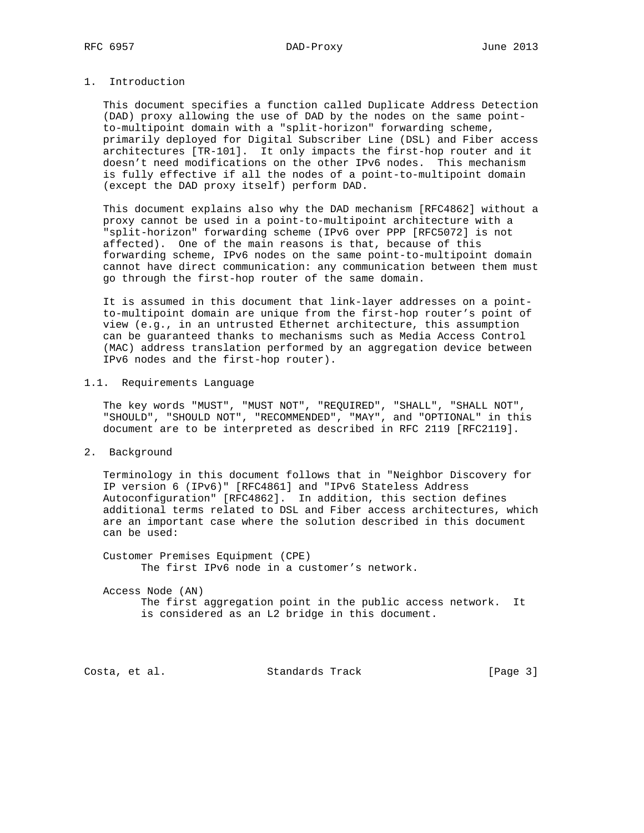# 1. Introduction

 This document specifies a function called Duplicate Address Detection (DAD) proxy allowing the use of DAD by the nodes on the same point to-multipoint domain with a "split-horizon" forwarding scheme, primarily deployed for Digital Subscriber Line (DSL) and Fiber access architectures [TR-101]. It only impacts the first-hop router and it doesn't need modifications on the other IPv6 nodes. This mechanism is fully effective if all the nodes of a point-to-multipoint domain (except the DAD proxy itself) perform DAD.

 This document explains also why the DAD mechanism [RFC4862] without a proxy cannot be used in a point-to-multipoint architecture with a "split-horizon" forwarding scheme (IPv6 over PPP [RFC5072] is not affected). One of the main reasons is that, because of this forwarding scheme, IPv6 nodes on the same point-to-multipoint domain cannot have direct communication: any communication between them must go through the first-hop router of the same domain.

 It is assumed in this document that link-layer addresses on a point to-multipoint domain are unique from the first-hop router's point of view (e.g., in an untrusted Ethernet architecture, this assumption can be guaranteed thanks to mechanisms such as Media Access Control (MAC) address translation performed by an aggregation device between IPv6 nodes and the first-hop router).

### 1.1. Requirements Language

 The key words "MUST", "MUST NOT", "REQUIRED", "SHALL", "SHALL NOT", "SHOULD", "SHOULD NOT", "RECOMMENDED", "MAY", and "OPTIONAL" in this document are to be interpreted as described in RFC 2119 [RFC2119].

2. Background

 Terminology in this document follows that in "Neighbor Discovery for IP version 6 (IPv6)" [RFC4861] and "IPv6 Stateless Address Autoconfiguration" [RFC4862]. In addition, this section defines additional terms related to DSL and Fiber access architectures, which are an important case where the solution described in this document can be used:

 Customer Premises Equipment (CPE) The first IPv6 node in a customer's network.

 Access Node (AN) The first aggregation point in the public access network. It is considered as an L2 bridge in this document.

Costa, et al. Standards Track [Page 3]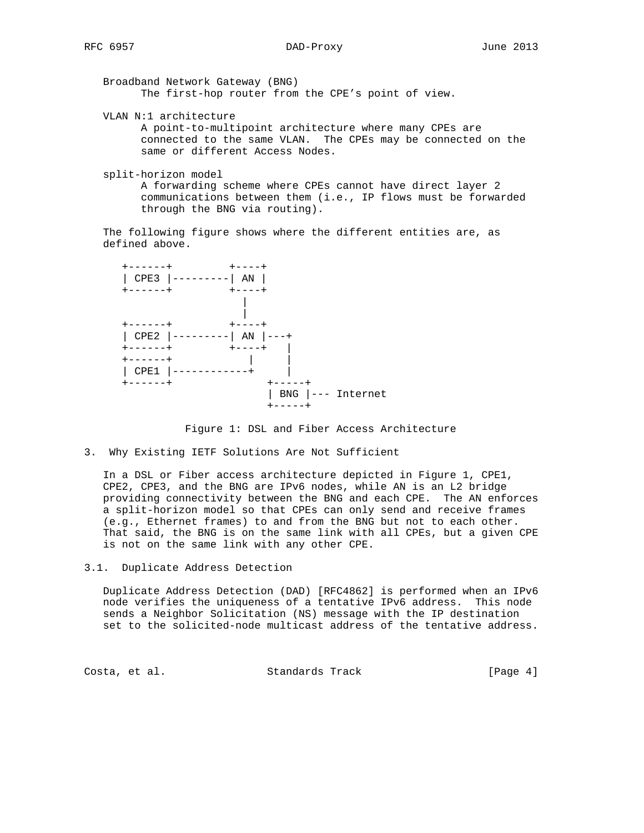Broadband Network Gateway (BNG) The first-hop router from the CPE's point of view.

VLAN N:1 architecture

 A point-to-multipoint architecture where many CPEs are connected to the same VLAN. The CPEs may be connected on the same or different Access Nodes.

split-horizon model

 A forwarding scheme where CPEs cannot have direct layer 2 communications between them (i.e., IP flows must be forwarded through the BNG via routing).

 The following figure shows where the different entities are, as defined above.



Figure 1: DSL and Fiber Access Architecture

3. Why Existing IETF Solutions Are Not Sufficient

 In a DSL or Fiber access architecture depicted in Figure 1, CPE1, CPE2, CPE3, and the BNG are IPv6 nodes, while AN is an L2 bridge providing connectivity between the BNG and each CPE. The AN enforces a split-horizon model so that CPEs can only send and receive frames (e.g., Ethernet frames) to and from the BNG but not to each other. That said, the BNG is on the same link with all CPEs, but a given CPE is not on the same link with any other CPE.

3.1. Duplicate Address Detection

 Duplicate Address Detection (DAD) [RFC4862] is performed when an IPv6 node verifies the uniqueness of a tentative IPv6 address. This node sends a Neighbor Solicitation (NS) message with the IP destination set to the solicited-node multicast address of the tentative address.

Costa, et al. Standards Track [Page 4]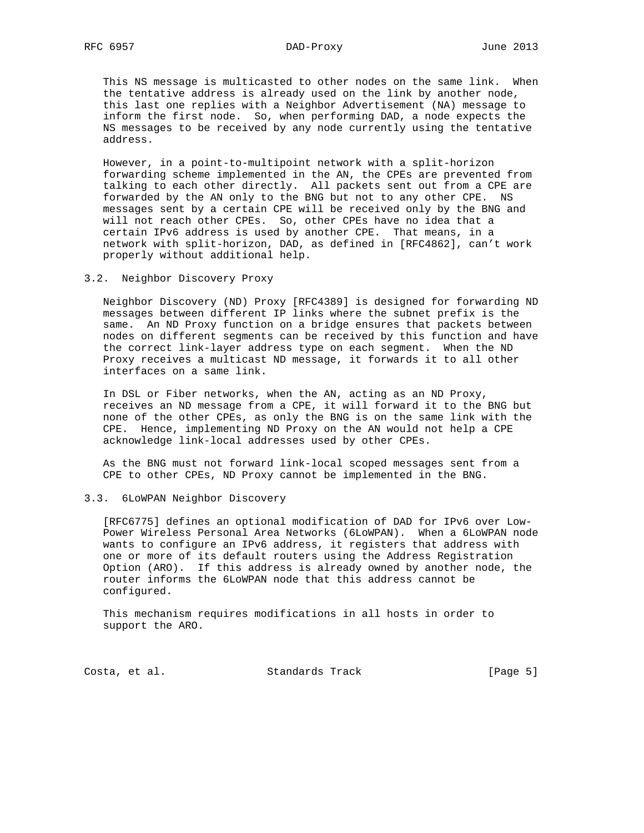This NS message is multicasted to other nodes on the same link. When the tentative address is already used on the link by another node, this last one replies with a Neighbor Advertisement (NA) message to inform the first node. So, when performing DAD, a node expects the NS messages to be received by any node currently using the tentative address.

 However, in a point-to-multipoint network with a split-horizon forwarding scheme implemented in the AN, the CPEs are prevented from talking to each other directly. All packets sent out from a CPE are forwarded by the AN only to the BNG but not to any other CPE. NS messages sent by a certain CPE will be received only by the BNG and will not reach other CPEs. So, other CPEs have no idea that a certain IPv6 address is used by another CPE. That means, in a network with split-horizon, DAD, as defined in [RFC4862], can't work properly without additional help.

#### 3.2. Neighbor Discovery Proxy

 Neighbor Discovery (ND) Proxy [RFC4389] is designed for forwarding ND messages between different IP links where the subnet prefix is the same. An ND Proxy function on a bridge ensures that packets between nodes on different segments can be received by this function and have the correct link-layer address type on each segment. When the ND Proxy receives a multicast ND message, it forwards it to all other interfaces on a same link.

 In DSL or Fiber networks, when the AN, acting as an ND Proxy, receives an ND message from a CPE, it will forward it to the BNG but none of the other CPEs, as only the BNG is on the same link with the CPE. Hence, implementing ND Proxy on the AN would not help a CPE acknowledge link-local addresses used by other CPEs.

 As the BNG must not forward link-local scoped messages sent from a CPE to other CPEs, ND Proxy cannot be implemented in the BNG.

# 3.3. 6LoWPAN Neighbor Discovery

 [RFC6775] defines an optional modification of DAD for IPv6 over Low- Power Wireless Personal Area Networks (6LoWPAN). When a 6LoWPAN node wants to configure an IPv6 address, it registers that address with one or more of its default routers using the Address Registration Option (ARO). If this address is already owned by another node, the router informs the 6LoWPAN node that this address cannot be configured.

 This mechanism requires modifications in all hosts in order to support the ARO.

Costa, et al. Standards Track [Page 5]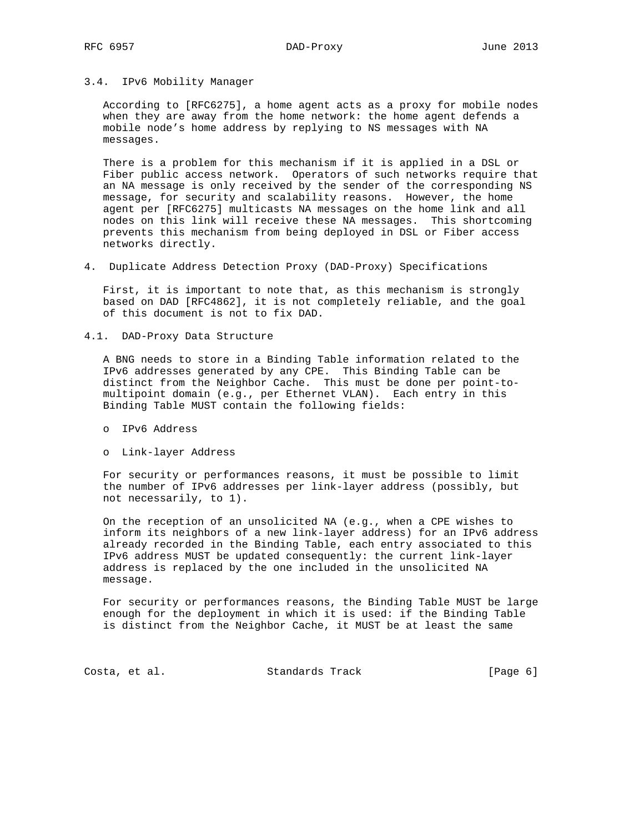### 3.4. IPv6 Mobility Manager

 According to [RFC6275], a home agent acts as a proxy for mobile nodes when they are away from the home network: the home agent defends a mobile node's home address by replying to NS messages with NA messages.

 There is a problem for this mechanism if it is applied in a DSL or Fiber public access network. Operators of such networks require that an NA message is only received by the sender of the corresponding NS message, for security and scalability reasons. However, the home agent per [RFC6275] multicasts NA messages on the home link and all nodes on this link will receive these NA messages. This shortcoming prevents this mechanism from being deployed in DSL or Fiber access networks directly.

4. Duplicate Address Detection Proxy (DAD-Proxy) Specifications

 First, it is important to note that, as this mechanism is strongly based on DAD [RFC4862], it is not completely reliable, and the goal of this document is not to fix DAD.

4.1. DAD-Proxy Data Structure

 A BNG needs to store in a Binding Table information related to the IPv6 addresses generated by any CPE. This Binding Table can be distinct from the Neighbor Cache. This must be done per point-to multipoint domain (e.g., per Ethernet VLAN). Each entry in this Binding Table MUST contain the following fields:

- o IPv6 Address
- o Link-layer Address

 For security or performances reasons, it must be possible to limit the number of IPv6 addresses per link-layer address (possibly, but not necessarily, to 1).

 On the reception of an unsolicited NA (e.g., when a CPE wishes to inform its neighbors of a new link-layer address) for an IPv6 address already recorded in the Binding Table, each entry associated to this IPv6 address MUST be updated consequently: the current link-layer address is replaced by the one included in the unsolicited NA message.

 For security or performances reasons, the Binding Table MUST be large enough for the deployment in which it is used: if the Binding Table is distinct from the Neighbor Cache, it MUST be at least the same

Costa, et al. Standards Track [Page 6]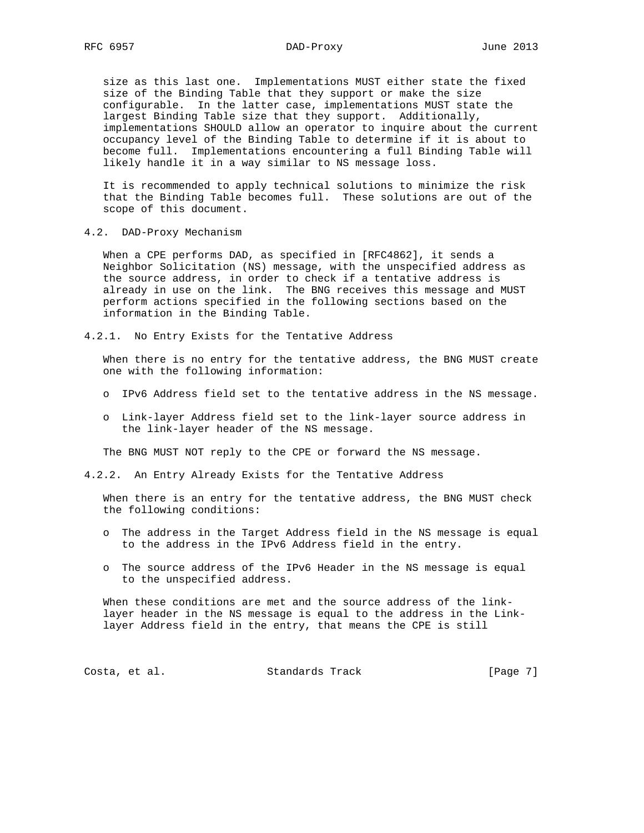size as this last one. Implementations MUST either state the fixed size of the Binding Table that they support or make the size configurable. In the latter case, implementations MUST state the largest Binding Table size that they support. Additionally, implementations SHOULD allow an operator to inquire about the current occupancy level of the Binding Table to determine if it is about to become full. Implementations encountering a full Binding Table will likely handle it in a way similar to NS message loss.

 It is recommended to apply technical solutions to minimize the risk that the Binding Table becomes full. These solutions are out of the scope of this document.

4.2. DAD-Proxy Mechanism

 When a CPE performs DAD, as specified in [RFC4862], it sends a Neighbor Solicitation (NS) message, with the unspecified address as the source address, in order to check if a tentative address is already in use on the link. The BNG receives this message and MUST perform actions specified in the following sections based on the information in the Binding Table.

4.2.1. No Entry Exists for the Tentative Address

 When there is no entry for the tentative address, the BNG MUST create one with the following information:

- o IPv6 Address field set to the tentative address in the NS message.
- o Link-layer Address field set to the link-layer source address in the link-layer header of the NS message.

The BNG MUST NOT reply to the CPE or forward the NS message.

4.2.2. An Entry Already Exists for the Tentative Address

 When there is an entry for the tentative address, the BNG MUST check the following conditions:

- o The address in the Target Address field in the NS message is equal to the address in the IPv6 Address field in the entry.
- o The source address of the IPv6 Header in the NS message is equal to the unspecified address.

 When these conditions are met and the source address of the link layer header in the NS message is equal to the address in the Link layer Address field in the entry, that means the CPE is still

Costa, et al. Standards Track [Page 7]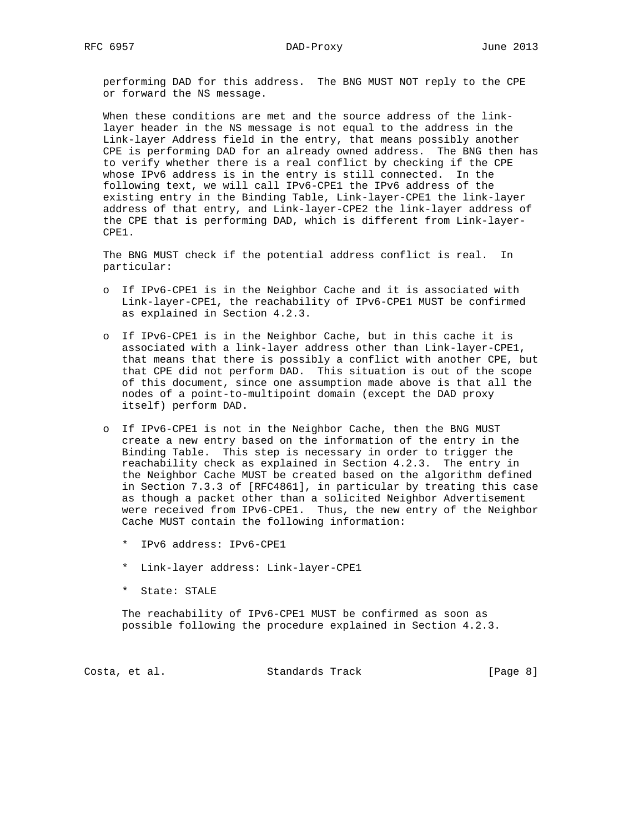performing DAD for this address. The BNG MUST NOT reply to the CPE or forward the NS message.

 When these conditions are met and the source address of the link layer header in the NS message is not equal to the address in the Link-layer Address field in the entry, that means possibly another CPE is performing DAD for an already owned address. The BNG then has to verify whether there is a real conflict by checking if the CPE whose IPv6 address is in the entry is still connected. In the following text, we will call IPv6-CPE1 the IPv6 address of the existing entry in the Binding Table, Link-layer-CPE1 the link-layer address of that entry, and Link-layer-CPE2 the link-layer address of the CPE that is performing DAD, which is different from Link-layer- CPE1.

 The BNG MUST check if the potential address conflict is real. In particular:

- o If IPv6-CPE1 is in the Neighbor Cache and it is associated with Link-layer-CPE1, the reachability of IPv6-CPE1 MUST be confirmed as explained in Section 4.2.3.
- o If IPv6-CPE1 is in the Neighbor Cache, but in this cache it is associated with a link-layer address other than Link-layer-CPE1, that means that there is possibly a conflict with another CPE, but that CPE did not perform DAD. This situation is out of the scope of this document, since one assumption made above is that all the nodes of a point-to-multipoint domain (except the DAD proxy itself) perform DAD.
- o If IPv6-CPE1 is not in the Neighbor Cache, then the BNG MUST create a new entry based on the information of the entry in the Binding Table. This step is necessary in order to trigger the reachability check as explained in Section 4.2.3. The entry in the Neighbor Cache MUST be created based on the algorithm defined in Section 7.3.3 of [RFC4861], in particular by treating this case as though a packet other than a solicited Neighbor Advertisement were received from IPv6-CPE1. Thus, the new entry of the Neighbor Cache MUST contain the following information:
	- \* IPv6 address: IPv6-CPE1
	- \* Link-layer address: Link-layer-CPE1
	- \* State: STALE

 The reachability of IPv6-CPE1 MUST be confirmed as soon as possible following the procedure explained in Section 4.2.3.

Costa, et al. Standards Track [Page 8]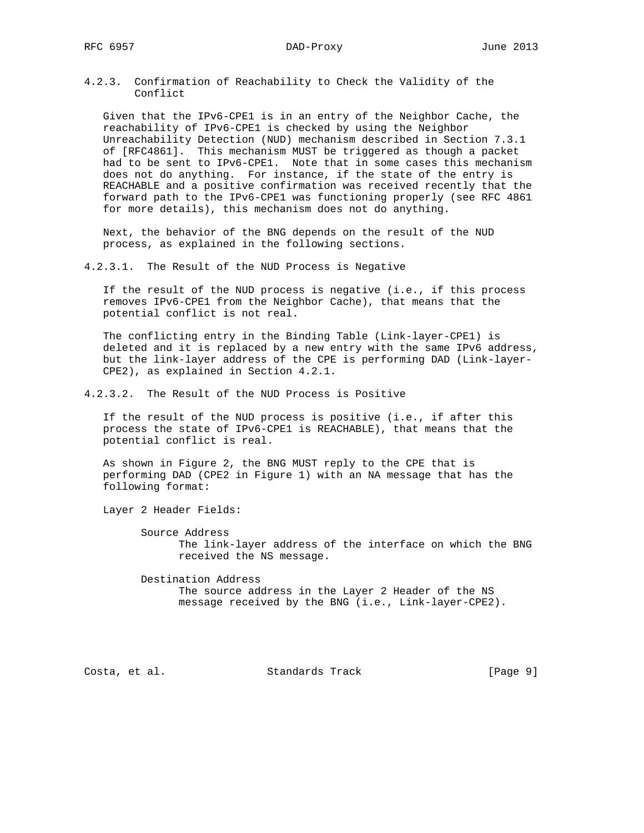RFC 6957 DAD-Proxy June 2013

4.2.3. Confirmation of Reachability to Check the Validity of the Conflict

 Given that the IPv6-CPE1 is in an entry of the Neighbor Cache, the reachability of IPv6-CPE1 is checked by using the Neighbor Unreachability Detection (NUD) mechanism described in Section 7.3.1 of [RFC4861]. This mechanism MUST be triggered as though a packet had to be sent to IPv6-CPE1. Note that in some cases this mechanism does not do anything. For instance, if the state of the entry is REACHABLE and a positive confirmation was received recently that the forward path to the IPv6-CPE1 was functioning properly (see RFC 4861 for more details), this mechanism does not do anything.

 Next, the behavior of the BNG depends on the result of the NUD process, as explained in the following sections.

4.2.3.1. The Result of the NUD Process is Negative

 If the result of the NUD process is negative (i.e., if this process removes IPv6-CPE1 from the Neighbor Cache), that means that the potential conflict is not real.

 The conflicting entry in the Binding Table (Link-layer-CPE1) is deleted and it is replaced by a new entry with the same IPv6 address, but the link-layer address of the CPE is performing DAD (Link-layer- CPE2), as explained in Section 4.2.1.

4.2.3.2. The Result of the NUD Process is Positive

 If the result of the NUD process is positive (i.e., if after this process the state of IPv6-CPE1 is REACHABLE), that means that the potential conflict is real.

 As shown in Figure 2, the BNG MUST reply to the CPE that is performing DAD (CPE2 in Figure 1) with an NA message that has the following format:

Layer 2 Header Fields:

 Source Address The link-layer address of the interface on which the BNG received the NS message.

 Destination Address The source address in the Layer 2 Header of the NS message received by the BNG (i.e., Link-layer-CPE2).

Costa, et al. Standards Track [Page 9]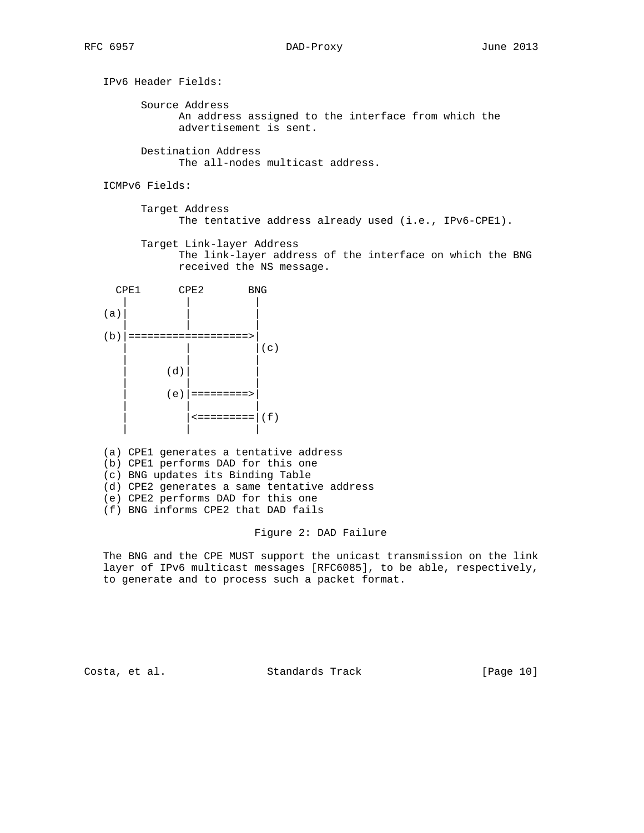IPv6 Header Fields: Source Address An address assigned to the interface from which the advertisement is sent. Destination Address The all-nodes multicast address.

ICMPv6 Fields:

 Target Address The tentative address already used (i.e., IPv6-CPE1).

 Target Link-layer Address The link-layer address of the interface on which the BNG received the NS message.

 CPE1 CPE2 BNG | | | (a)| | | | | | (b)|===================>| | | |(c) | | |  $(d)$  | | |  $(e)$  | =========> | | |  $\left| (f) \right|$ | | |

 (a) CPE1 generates a tentative address (b) CPE1 performs DAD for this one (c) BNG updates its Binding Table (d) CPE2 generates a same tentative address (e) CPE2 performs DAD for this one

(f) BNG informs CPE2 that DAD fails

#### Figure 2: DAD Failure

 The BNG and the CPE MUST support the unicast transmission on the link layer of IPv6 multicast messages [RFC6085], to be able, respectively, to generate and to process such a packet format.

Costa, et al. Standards Track [Page 10]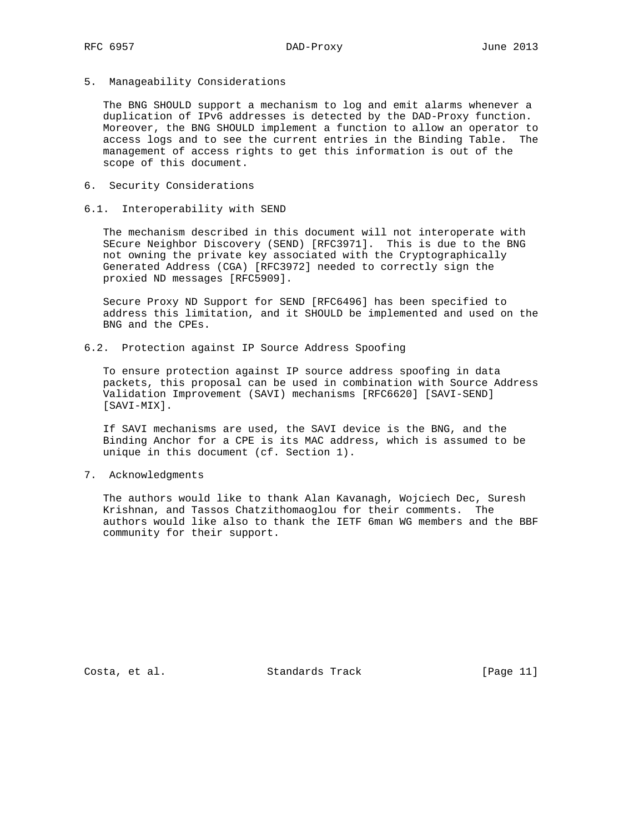5. Manageability Considerations

 The BNG SHOULD support a mechanism to log and emit alarms whenever a duplication of IPv6 addresses is detected by the DAD-Proxy function. Moreover, the BNG SHOULD implement a function to allow an operator to access logs and to see the current entries in the Binding Table. The management of access rights to get this information is out of the scope of this document.

### 6. Security Considerations

#### 6.1. Interoperability with SEND

 The mechanism described in this document will not interoperate with SEcure Neighbor Discovery (SEND) [RFC3971]. This is due to the BNG not owning the private key associated with the Cryptographically Generated Address (CGA) [RFC3972] needed to correctly sign the proxied ND messages [RFC5909].

 Secure Proxy ND Support for SEND [RFC6496] has been specified to address this limitation, and it SHOULD be implemented and used on the BNG and the CPEs.

6.2. Protection against IP Source Address Spoofing

 To ensure protection against IP source address spoofing in data packets, this proposal can be used in combination with Source Address Validation Improvement (SAVI) mechanisms [RFC6620] [SAVI-SEND] [SAVI-MIX].

 If SAVI mechanisms are used, the SAVI device is the BNG, and the Binding Anchor for a CPE is its MAC address, which is assumed to be unique in this document (cf. Section 1).

7. Acknowledgments

 The authors would like to thank Alan Kavanagh, Wojciech Dec, Suresh Krishnan, and Tassos Chatzithomaoglou for their comments. The authors would like also to thank the IETF 6man WG members and the BBF community for their support.

Costa, et al. Standards Track [Page 11]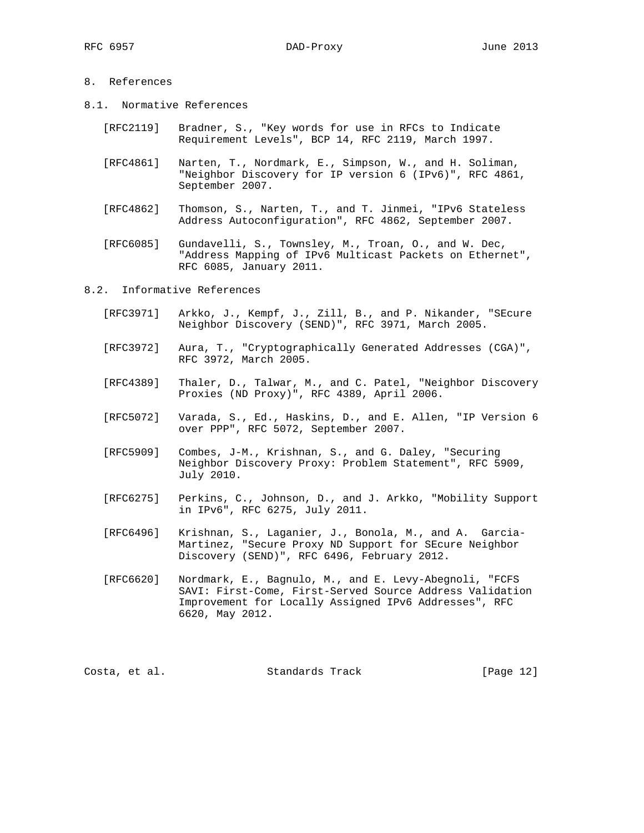# 8. References

- 8.1. Normative References
	- [RFC2119] Bradner, S., "Key words for use in RFCs to Indicate Requirement Levels", BCP 14, RFC 2119, March 1997.
	- [RFC4861] Narten, T., Nordmark, E., Simpson, W., and H. Soliman, "Neighbor Discovery for IP version 6 (IPv6)", RFC 4861, September 2007.
	- [RFC4862] Thomson, S., Narten, T., and T. Jinmei, "IPv6 Stateless Address Autoconfiguration", RFC 4862, September 2007.
	- [RFC6085] Gundavelli, S., Townsley, M., Troan, O., and W. Dec, "Address Mapping of IPv6 Multicast Packets on Ethernet", RFC 6085, January 2011.

8.2. Informative References

- [RFC3971] Arkko, J., Kempf, J., Zill, B., and P. Nikander, "SEcure Neighbor Discovery (SEND)", RFC 3971, March 2005.
- [RFC3972] Aura, T., "Cryptographically Generated Addresses (CGA)", RFC 3972, March 2005.
- [RFC4389] Thaler, D., Talwar, M., and C. Patel, "Neighbor Discovery Proxies (ND Proxy)", RFC 4389, April 2006.
- [RFC5072] Varada, S., Ed., Haskins, D., and E. Allen, "IP Version 6 over PPP", RFC 5072, September 2007.
- [RFC5909] Combes, J-M., Krishnan, S., and G. Daley, "Securing Neighbor Discovery Proxy: Problem Statement", RFC 5909, July 2010.
- [RFC6275] Perkins, C., Johnson, D., and J. Arkko, "Mobility Support in IPv6", RFC 6275, July 2011.
- [RFC6496] Krishnan, S., Laganier, J., Bonola, M., and A. Garcia- Martinez, "Secure Proxy ND Support for SEcure Neighbor Discovery (SEND)", RFC 6496, February 2012.
- [RFC6620] Nordmark, E., Bagnulo, M., and E. Levy-Abegnoli, "FCFS SAVI: First-Come, First-Served Source Address Validation Improvement for Locally Assigned IPv6 Addresses", RFC 6620, May 2012.

Costa, et al. Standards Track [Page 12]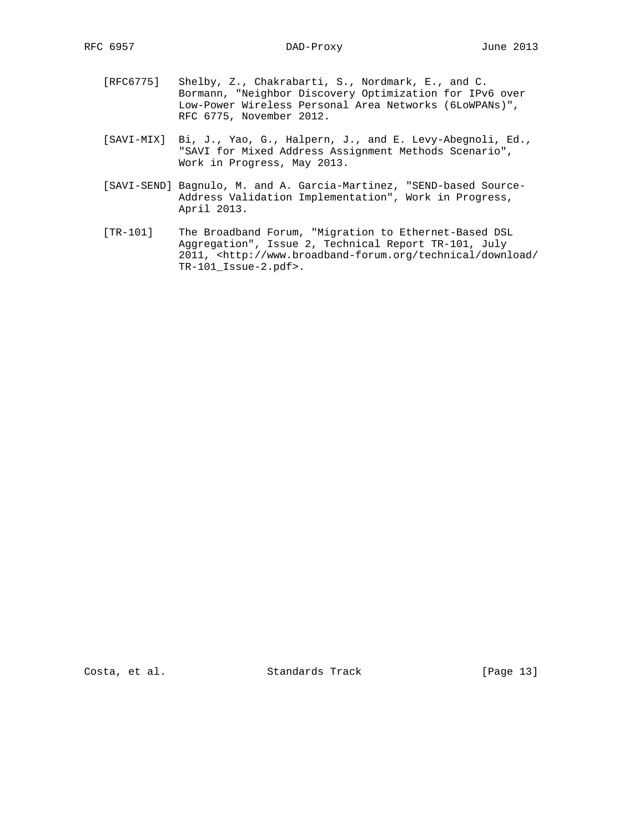- [RFC6775] Shelby, Z., Chakrabarti, S., Nordmark, E., and C. Bormann, "Neighbor Discovery Optimization for IPv6 over Low-Power Wireless Personal Area Networks (6LoWPANs)", RFC 6775, November 2012.
- [SAVI-MIX] Bi, J., Yao, G., Halpern, J., and E. Levy-Abegnoli, Ed., "SAVI for Mixed Address Assignment Methods Scenario", Work in Progress, May 2013.
- [SAVI-SEND] Bagnulo, M. and A. Garcia-Martinez, "SEND-based Source- Address Validation Implementation", Work in Progress, April 2013.
- [TR-101] The Broadband Forum, "Migration to Ethernet-Based DSL Aggregation", Issue 2, Technical Report TR-101, July 2011, <http://www.broadband-forum.org/technical/download/ TR-101\_Issue-2.pdf>.

Costa, et al. Standards Track [Page 13]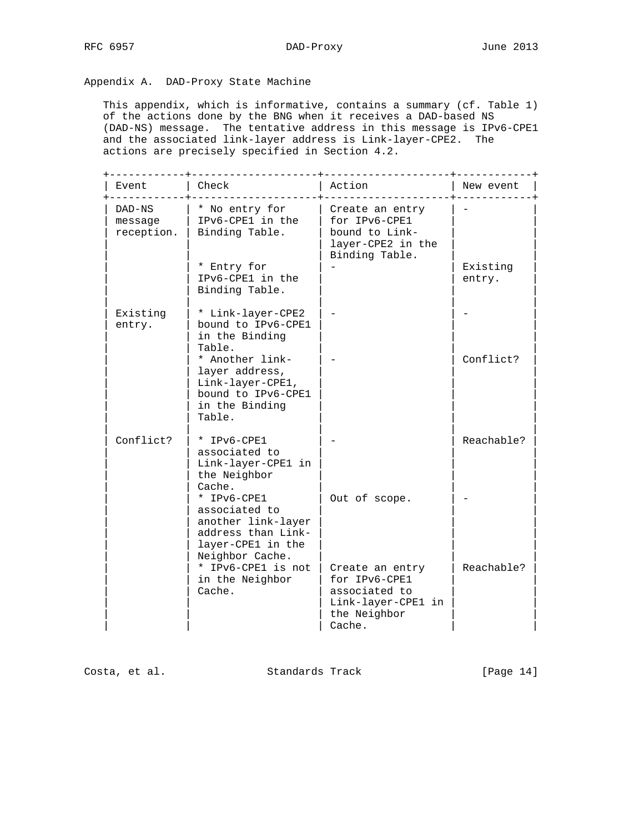Appendix A. DAD-Proxy State Machine

 This appendix, which is informative, contains a summary (cf. Table 1) of the actions done by the BNG when it receives a DAD-based NS (DAD-NS) message. The tentative address in this message is IPv6-CPE1 and the associated link-layer address is Link-layer-CPE2. The actions are precisely specified in Section 4.2.

| Event                           | Check                                                                                                             | Action                                                                                            | New event          |
|---------------------------------|-------------------------------------------------------------------------------------------------------------------|---------------------------------------------------------------------------------------------------|--------------------|
| DAD-NS<br>message<br>reception. | * No entry for<br>IPv6-CPE1 in the<br>Binding Table.                                                              | Create an entry<br>for IPv6-CPE1<br>bound to Link-<br>layer-CPE2 in the<br>Binding Table.         |                    |
|                                 | * Entry for<br>IPv6-CPE1 in the<br>Binding Table.                                                                 |                                                                                                   | Existing<br>entry. |
| Existing<br>entry.              | * Link-layer-CPE2<br>bound to IPv6-CPE1<br>in the Binding                                                         |                                                                                                   |                    |
|                                 | Table.<br>* Another link-<br>layer address,<br>Link-layer-CPE1,<br>bound to IPv6-CPE1<br>in the Binding<br>Table. |                                                                                                   | Conflict?          |
| Conflict?                       | * IPv6-CPE1<br>associated to<br>Link-layer-CPE1 in<br>the Neighbor<br>Cache.                                      |                                                                                                   | Reachable?         |
|                                 | * IPv6-CPE1<br>associated to<br>another link-layer<br>address than Link-<br>layer-CPE1 in the<br>Neighbor Cache.  | Out of scope.                                                                                     |                    |
|                                 | * IPv6-CPE1 is not<br>in the Neighbor<br>Cache.                                                                   | Create an entry<br>for IPv6-CPE1<br>associated to<br>Link-layer-CPE1 in<br>the Neighbor<br>Cache. | Reachable?         |

Costa, et al. Standards Track [Page 14]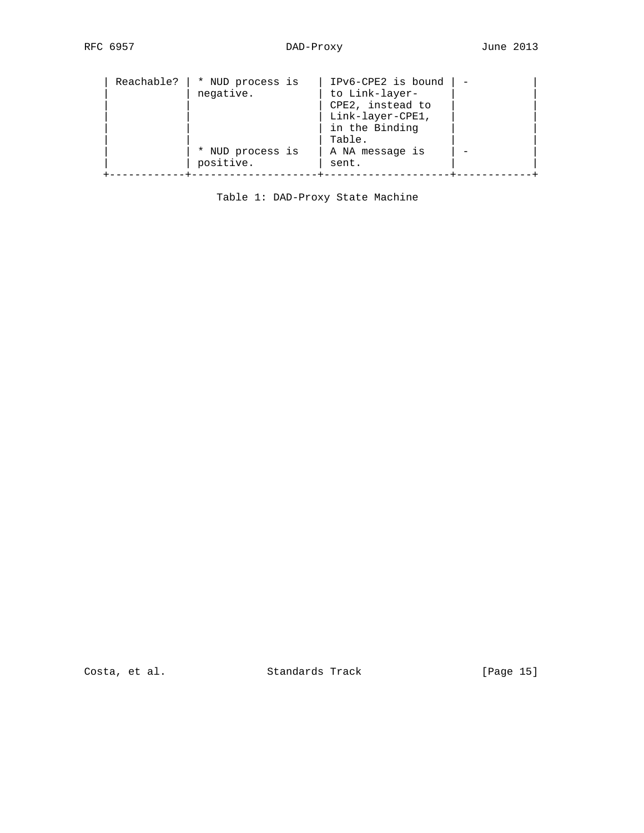| Reachable? | * NUD process is<br>negative.<br>* NUD process is | IPv6-CPE2 is bound<br>to Link-layer-<br>CPE2, instead to<br>Link-layer-CPE1,<br>in the Binding<br>Table.<br>A NA message is |  |
|------------|---------------------------------------------------|-----------------------------------------------------------------------------------------------------------------------------|--|
|            | positive.                                         | sent.                                                                                                                       |  |
|            |                                                   |                                                                                                                             |  |

Table 1: DAD-Proxy State Machine

Costa, et al. Standards Track [Page 15]